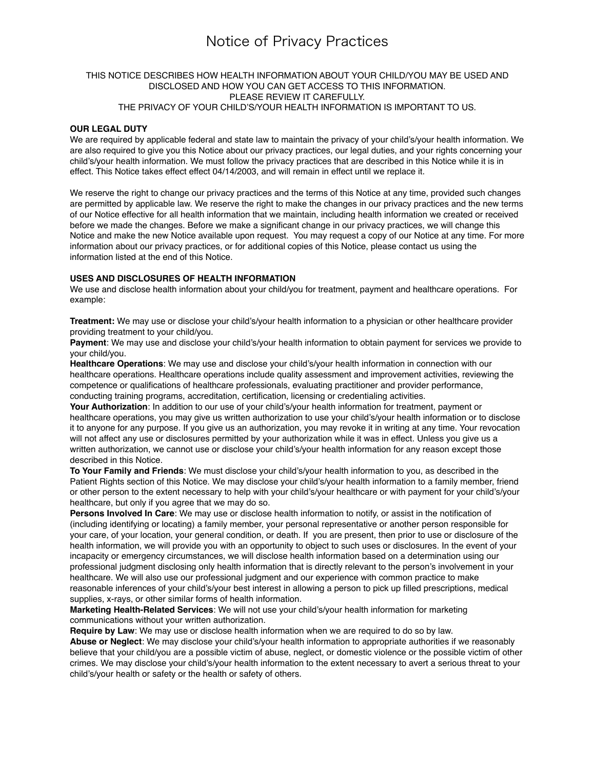## Notice of Privacy Practices

#### THIS NOTICE DESCRIBES HOW HEALTH INFORMATION ABOUT YOUR CHILD/YOU MAY BE USED AND DISCLOSED AND HOW YOU CAN GET ACCESS TO THIS INFORMATION. PLEASE REVIEW IT CAREFULLY. THE PRIVACY OF YOUR CHILD'S/YOUR HEALTH INFORMATION IS IMPORTANT TO US.

#### **OUR LEGAL DUTY**

We are required by applicable federal and state law to maintain the privacy of your child's/your health information. We are also required to give you this Notice about our privacy practices, our legal duties, and your rights concerning your child's/your health information. We must follow the privacy practices that are described in this Notice while it is in effect. This Notice takes effect effect 04/14/2003, and will remain in effect until we replace it.

We reserve the right to change our privacy practices and the terms of this Notice at any time, provided such changes are permitted by applicable law. We reserve the right to make the changes in our privacy practices and the new terms of our Notice effective for all health information that we maintain, including health information we created or received before we made the changes. Before we make a significant change in our privacy practices, we will change this Notice and make the new Notice available upon request. You may request a copy of our Notice at any time. For more information about our privacy practices, or for additional copies of this Notice, please contact us using the information listed at the end of this Notice.

#### **USES AND DISCLOSURES OF HEALTH INFORMATION**

We use and disclose health information about your child/you for treatment, payment and healthcare operations. For example:

**Treatment:** We may use or disclose your child's/your health information to a physician or other healthcare provider providing treatment to your child/you.

**Payment**: We may use and disclose your child's/your health information to obtain payment for services we provide to your child/you.

**Healthcare Operations**: We may use and disclose your child's/your health information in connection with our healthcare operations. Healthcare operations include quality assessment and improvement activities, reviewing the competence or qualifications of healthcare professionals, evaluating practitioner and provider performance, conducting training programs, accreditation, certification, licensing or credentialing activities.

**Your Authorization**: In addition to our use of your child's/your health information for treatment, payment or healthcare operations, you may give us written authorization to use your child's/your health information or to disclose it to anyone for any purpose. If you give us an authorization, you may revoke it in writing at any time. Your revocation will not affect any use or disclosures permitted by your authorization while it was in effect. Unless you give us a written authorization, we cannot use or disclose your child's/your health information for any reason except those described in this Notice.

**To Your Family and Friends**: We must disclose your child's/your health information to you, as described in the Patient Rights section of this Notice. We may disclose your child's/your health information to a family member, friend or other person to the extent necessary to help with your child's/your healthcare or with payment for your child's/your healthcare, but only if you agree that we may do so.

**Persons Involved In Care**: We may use or disclose health information to notify, or assist in the notification of (including identifying or locating) a family member, your personal representative or another person responsible for your care, of your location, your general condition, or death. If you are present, then prior to use or disclosure of the health information, we will provide you with an opportunity to object to such uses or disclosures. In the event of your incapacity or emergency circumstances, we will disclose health information based on a determination using our professional judgment disclosing only health information that is directly relevant to the person's involvement in your healthcare. We will also use our professional judgment and our experience with common practice to make reasonable inferences of your child's/your best interest in allowing a person to pick up filled prescriptions, medical supplies, x-rays, or other similar forms of health information.

**Marketing Health-Related Services**: We will not use your child's/your health information for marketing communications without your written authorization.

**Require by Law**: We may use or disclose health information when we are required to do so by law. **Abuse or Neglect**: We may disclose your child's/your health information to appropriate authorities if we reasonably believe that your child/you are a possible victim of abuse, neglect, or domestic violence or the possible victim of other crimes. We may disclose your child's/your health information to the extent necessary to avert a serious threat to your child's/your health or safety or the health or safety of others.